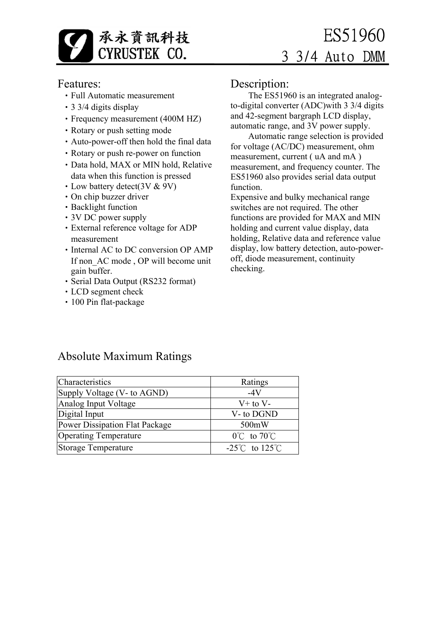

### Features:

- •Full Automatic measurement
- •3 3/4 digits display
- •Frequency measurement (400M HZ)
- Rotary or push setting mode
- •Auto-power-off then hold the final data
- Rotary or push re-power on function
- •Data hold, MAX or MIN hold, Relative data when this function is pressed
- Low battery detect(3V & 9V)
- •On chip buzzer driver
- Backlight function
- •3V DC power supply
- •External reference voltage for ADP measurement
- Internal AC to DC conversion OP AMP If non AC mode, OP will become unit gain buffer.
- •Serial Data Output (RS232 format)
- •LCD segment check
- •100 Pin flat-package

### Description:

 The ES51960 is an integrated analogto-digital converter (ADC)with 3 3/4 digits and 42-segment bargraph LCD display, automatic range, and 3V power supply.

 Automatic range selection is provided for voltage (AC/DC) measurement, ohm measurement, current ( uA and mA ) measurement, and frequency counter. The ES51960 also provides serial data output function.

Expensive and bulky mechanical range switches are not required. The other functions are provided for MAX and MIN holding and current value display, data holding, Relative data and reference value display, low battery detection, auto-poweroff, diode measurement, continuity checking.

### Absolute Maximum Ratings

| Characteristics                | Ratings                            |
|--------------------------------|------------------------------------|
| Supply Voltage (V- to AGND)    | -4V                                |
| Analog Input Voltage           | $V+$ to $V-$                       |
| Digital Input                  | V-to DGND                          |
| Power Dissipation Flat Package | 500mW                              |
| <b>Operating Temperature</b>   | $0^{\circ}$ C to $70^{\circ}$ C    |
| Storage Temperature            | -25 $\degree$ C to 125 $\degree$ C |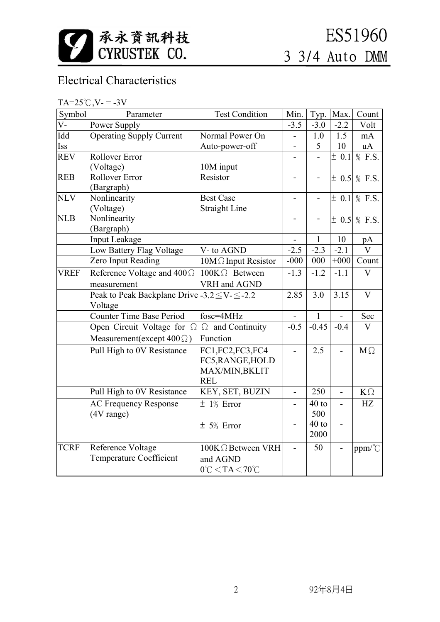

# Electrical Characteristics

| $TA = 25^{\circ}C$ , $V = -3V$ |  |  |  |
|--------------------------------|--|--|--|
|                                |  |  |  |

| Symbol      | Parameter                                                | <b>Test Condition</b>                | Min.                     | Typ.         | Max.                     | Count                   |
|-------------|----------------------------------------------------------|--------------------------------------|--------------------------|--------------|--------------------------|-------------------------|
| $V -$       | Power Supply                                             |                                      | $-3.5$                   | $-3.0$       | $-2.2$                   | Volt                    |
| Idd         | <b>Operating Supply Current</b>                          | Normal Power On                      |                          | 1.0          | 1.5                      | mA                      |
| Iss         |                                                          | Auto-power-off                       | $\overline{a}$           | 5            | 10                       | uA                      |
| <b>REV</b>  | <b>Rollover Error</b>                                    |                                      |                          |              | $\overline{\pm}$ 0.1     | $%$ F.S.                |
|             | (Voltage)                                                | 10M input                            |                          |              |                          |                         |
| <b>REB</b>  | <b>Rollover Error</b>                                    | Resistor                             |                          |              |                          | $\pm$ 0.5 % F.S.        |
|             | (Bargraph)                                               |                                      |                          |              |                          |                         |
| <b>NLV</b>  | Nonlinearity                                             | <b>Best Case</b>                     | $\overline{\phantom{a}}$ |              | $\pm$ 0.1                | % F.S.                  |
|             | (Voltage)                                                | <b>Straight Line</b>                 |                          |              |                          |                         |
| <b>NLB</b>  | Nonlinearity                                             |                                      |                          |              |                          | $\pm$ 0.5 % F.S.        |
|             | (Bargraph)                                               |                                      |                          |              |                          |                         |
|             | <b>Input Leakage</b>                                     |                                      |                          | 1            | 10                       | pA                      |
|             | Low Battery Flag Voltage                                 | V- to AGND                           | $-2.5$                   | $-2.3$       | $-2.1$                   | $\overline{\mathbf{V}}$ |
|             | Zero Input Reading                                       | $10M\Omega$ Input Resistor           | $-000$                   | 000          | $+000$                   | Count                   |
| <b>VREF</b> | Reference Voltage and $400\Omega$                        | $100K\Omega$ Between                 | $-1.3$                   | $-1.2$       | $-1.1$                   | $\overline{V}$          |
|             | measurement                                              | VRH and AGND                         |                          |              |                          |                         |
|             | Peak to Peak Backplane Drive - 3.2 $\leq$ V- $\leq$ -2.2 |                                      | 2.85                     | 3.0          | 3.15                     | $\overline{\mathbf{V}}$ |
|             | Voltage                                                  |                                      |                          |              |                          |                         |
|             | <b>Counter Time Base Period</b>                          | fosc=4MHz                            |                          | $\mathbf{1}$ | $\overline{\phantom{a}}$ | Sec                     |
|             | Open Circuit Voltage for $\Omega$                        | $\Omega$ and Continuity              | $-0.5$                   | $-0.45$      | $-0.4$                   | $\overline{\mathbf{V}}$ |
|             | Measurement(except $400\Omega$ )                         | Function                             |                          |              |                          |                         |
|             | Pull High to 0V Resistance                               | FC1,FC2,FC3,FC4                      | $\blacksquare$           | 2.5          |                          | $M\Omega$               |
|             |                                                          | FC5, RANGE, HOLD                     |                          |              |                          |                         |
|             |                                                          | MAX/MIN, BKLIT                       |                          |              |                          |                         |
|             |                                                          | <b>REL</b>                           |                          |              |                          |                         |
|             | Pull High to 0V Resistance                               | KEY, SET, BUZIN                      | $\overline{a}$           | 250          |                          | $K\Omega$               |
|             | <b>AC Frequency Response</b>                             | $±$ 1% Error                         | $\overline{\phantom{a}}$ | $40$ to      | $\overline{a}$           | HZ                      |
|             | (4V range)                                               |                                      |                          | 500          |                          |                         |
|             |                                                          | $± 5%$ Error                         |                          | $40$ to      | $\overline{\phantom{0}}$ |                         |
|             |                                                          |                                      |                          | 2000         |                          |                         |
| <b>TCRF</b> | Reference Voltage                                        | 100KΩ Between VRH                    | $\overline{\phantom{a}}$ | 50           |                          | ppm/°C                  |
|             | Temperature Coefficient                                  | and AGND                             |                          |              |                          |                         |
|             |                                                          | $0^{\circ}$ C < TA < 70 $^{\circ}$ C |                          |              |                          |                         |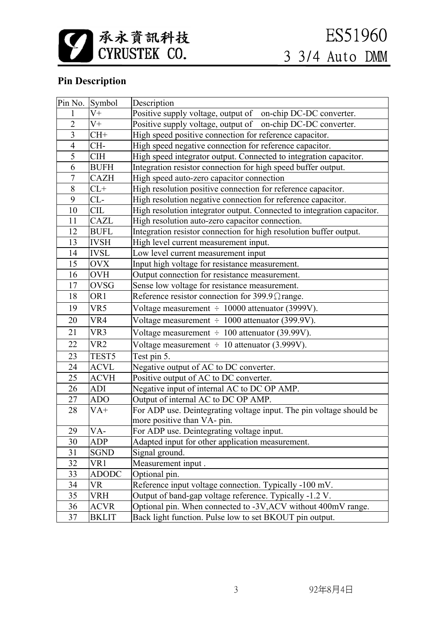

## **Pin Description**

|                         | Pin No. Symbol  | Description                                                            |
|-------------------------|-----------------|------------------------------------------------------------------------|
| 1                       | $V^+$           | Positive supply voltage, output of on-chip DC-DC converter.            |
| $\overline{2}$          | $V^+$           | Positive supply voltage, output of on-chip DC-DC converter.            |
| $\overline{\mathbf{3}}$ | $CH+$           | High speed positive connection for reference capacitor.                |
| $\overline{4}$          | CH-             | High speed negative connection for reference capacitor.                |
| 5                       | <b>CIH</b>      | High speed integrator output. Connected to integration capacitor.      |
| 6                       | <b>BUFH</b>     | Integration resistor connection for high speed buffer output.          |
| $\overline{7}$          | <b>CAZH</b>     | High speed auto-zero capacitor connection                              |
| 8                       | $CL+$           | High resolution positive connection for reference capacitor.           |
| 9                       | $CL-$           | High resolution negative connection for reference capacitor.           |
| 10                      | <b>CIL</b>      | High resolution integrator output. Connected to integration capacitor. |
| 11                      | CAZL            | High resolution auto-zero capacitor connection.                        |
| 12                      | <b>BUFL</b>     | Integration resistor connection for high resolution buffer output.     |
| 13                      | <b>IVSH</b>     | High level current measurement input.                                  |
| 14                      | <b>IVSL</b>     | Low level current measurement input                                    |
| 15                      | <b>OVX</b>      | Input high voltage for resistance measurement.                         |
| 16                      | <b>OVH</b>      | Output connection for resistance measurement.                          |
| 17                      | <b>OVSG</b>     | Sense low voltage for resistance measurement.                          |
| 18                      | OR <sub>1</sub> | Reference resistor connection for 399.9 $\Omega$ range.                |
| 19                      | VR5             | Voltage measurement $\div 10000$ attenuator (3999V).                   |
| 20                      | VR4             | Voltage measurement $\div 1000$ attenuator (399.9V).                   |
| 21                      | VR3             | Voltage measurement $\div$ 100 attenuator (39.99V).                    |
| 22                      | VR <sub>2</sub> | Voltage measurement $\div 10$ attenuator (3.999V).                     |
| 23                      | TEST5           | Test pin 5.                                                            |
| 24                      | <b>ACVL</b>     | Negative output of AC to DC converter.                                 |
| 25                      | <b>ACVH</b>     | Positive output of AC to DC converter.                                 |
| 26                      | <b>ADI</b>      | Negative input of internal AC to DC OP AMP.                            |
| 27                      | <b>ADO</b>      | Output of internal AC to DC OP AMP.                                    |
| 28                      | $VA+$           | For ADP use. Deintegrating voltage input. The pin voltage should be    |
|                         |                 | more positive than VA- pin.                                            |
| 29                      | VA-             | For ADP use. Deintegrating voltage input.                              |
| 30                      | <b>ADP</b>      | Adapted input for other application measurement.                       |
| 31                      | <b>SGND</b>     | Signal ground.                                                         |
| 32                      | VR1             | Measurement input.                                                     |
| 33                      | <b>ADODC</b>    | Optional pin.                                                          |
| 34                      | VR              | Reference input voltage connection. Typically -100 mV.                 |
| 35                      | <b>VRH</b>      | Output of band-gap voltage reference. Typically -1.2 V.                |
| 36                      | <b>ACVR</b>     | Optional pin. When connected to -3V, ACV without 400mV range.          |
| 37                      | <b>BKLIT</b>    | Back light function. Pulse low to set BKOUT pin output.                |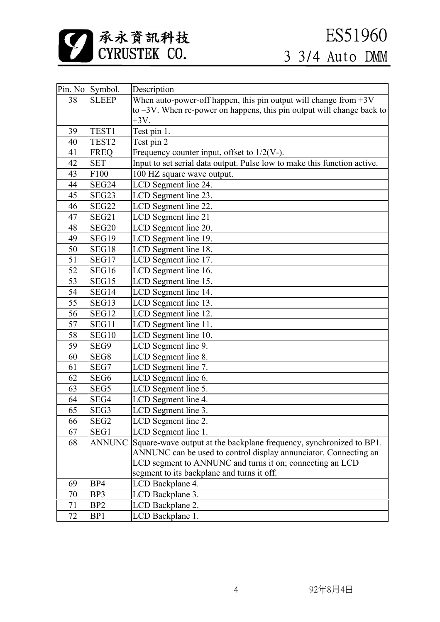

|    | Pin. No Symbol.   | Description                                                              |
|----|-------------------|--------------------------------------------------------------------------|
| 38 | <b>SLEEP</b>      | When auto-power-off happen, this pin output will change from $+3V$       |
|    |                   | to $-3V$ . When re-power on happens, this pin output will change back to |
|    |                   | $+3V$ .                                                                  |
| 39 | TEST <sub>1</sub> | Test pin 1.                                                              |
| 40 | TEST <sub>2</sub> | Test pin 2                                                               |
| 41 | <b>FREQ</b>       | Frequency counter input, offset to $1/2(V-)$ .                           |
| 42 | <b>SET</b>        | Input to set serial data output. Pulse low to make this function active. |
| 43 | F100              | 100 HZ square wave output.                                               |
| 44 | SEG24             | LCD Segment line 24.                                                     |
| 45 | SEG23             | LCD Segment line 23.                                                     |
| 46 | SEG22             | LCD Segment line 22.                                                     |
| 47 | SEG21             | LCD Segment line 21                                                      |
| 48 | SEG20             | LCD Segment line 20.                                                     |
| 49 | SEG19             | LCD Segment line 19.                                                     |
| 50 | SEG18             | LCD Segment line 18.                                                     |
| 51 | SEG17             | LCD Segment line 17.                                                     |
| 52 | SEG16             | LCD Segment line 16.                                                     |
| 53 | SEG15             | LCD Segment line 15.                                                     |
| 54 | SEG14             | LCD Segment line 14.                                                     |
| 55 | SEG13             | LCD Segment line 13.                                                     |
| 56 | SEG12             | LCD Segment line 12.                                                     |
| 57 | SEG11             | LCD Segment line 11.                                                     |
| 58 | SEG10             | LCD Segment line 10.                                                     |
| 59 | SEG9              | LCD Segment line 9.                                                      |
| 60 | SEG8              | LCD Segment line 8.                                                      |
| 61 | SEG7              | LCD Segment line 7.                                                      |
| 62 | SEG <sub>6</sub>  | LCD Segment line 6.                                                      |
| 63 | SEG5              | LCD Segment line 5.                                                      |
| 64 | SEG4              | LCD Segment line 4.                                                      |
| 65 | SEG <sub>3</sub>  | LCD Segment line 3.                                                      |
| 66 | SEG <sub>2</sub>  | LCD Segment line 2.                                                      |
| 67 | SEG1              | LCD Segment line 1.                                                      |
| 68 | <b>ANNUNC</b>     | Square-wave output at the backplane frequency, synchronized to BP1.      |
|    |                   | ANNUNC can be used to control display annunciator. Connecting an         |
|    |                   | LCD segment to ANNUNC and turns it on; connecting an LCD                 |
|    |                   | segment to its backplane and turns it off.                               |
| 69 | BP4               | LCD Backplane 4.                                                         |
| 70 | BP3               | LCD Backplane 3.                                                         |
| 71 | BP <sub>2</sub>   | LCD Backplane 2.                                                         |
| 72 | BP1               | LCD Backplane 1.                                                         |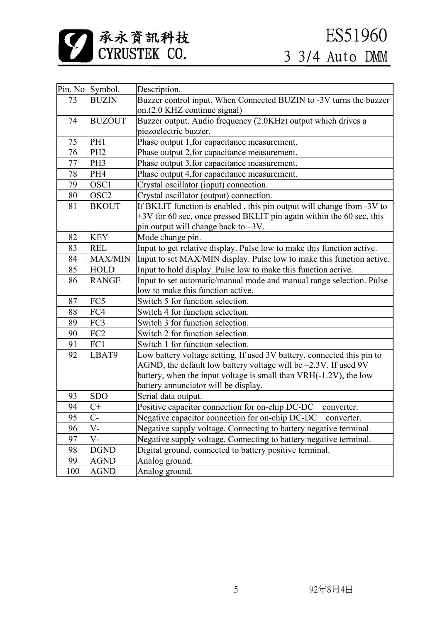

|     | Pin. No Symbol.  | Description.                                                           |
|-----|------------------|------------------------------------------------------------------------|
| 73  | <b>BUZIN</b>     | Buzzer control input. When Connected BUZIN to -3V turns the buzzer     |
|     |                  | on.(2.0 KHZ continue signal)                                           |
| 74  | <b>BUZOUT</b>    | Buzzer output. Audio frequency (2.0KHz) output which drives a          |
|     |                  | piezoelectric buzzer.                                                  |
| 75  | PH1              | Phase output 1, for capacitance measurement.                           |
| 76  | PH <sub>2</sub>  | Phase output 2, for capacitance measurement.                           |
| 77  | PH <sub>3</sub>  | Phase output 3, for capacitance measurement.                           |
| 78  | PH4              | Phase output 4, for capacitance measurement.                           |
| 79  | OSC1             | Crystal oscillator (input) connection.                                 |
| 80  | OSC <sub>2</sub> | Crystal oscillator (output) connection.                                |
| 81  | <b>BKOUT</b>     | If BKLIT function is enabled, this pin output will change from -3V to  |
|     |                  | +3V for 60 sec, once pressed BKLIT pin again within the 60 sec, this   |
|     |                  | pin output will change back to -3V.                                    |
| 82  | <b>KEY</b>       | Mode change pin.                                                       |
| 83  | <b>REL</b>       | Input to get relative display. Pulse low to make this function active. |
| 84  | MAX/MIN          | Input to set MAX/MIN display. Pulse low to make this function active.  |
| 85  | <b>HOLD</b>      | Input to hold display. Pulse low to make this function active.         |
| 86  | <b>RANGE</b>     | Input to set automatic/manual mode and manual range selection. Pulse   |
|     |                  | low to make this function active.                                      |
| 87  | FC5              | Switch 5 for function selection.                                       |
| 88  | FC4              | Switch 4 for function selection.                                       |
| 89  | FC3              | Switch 3 for function selection.                                       |
| 90  | FC <sub>2</sub>  | Switch 2 for function selection.                                       |
| 91  | FC1              | Switch 1 for function selection.                                       |
| 92  | LBAT9            | Low battery voltage setting. If used 3V battery, connected this pin to |
|     |                  | AGND, the default low battery voltage will be -2.3V. If used 9V        |
|     |                  | battery, when the input voltage is small than VRH(-1.2V), the low      |
|     |                  | battery annunciator will be display.                                   |
| 93  | <b>SDO</b>       | Serial data output.                                                    |
| 94  | $C+$             | Positive capacitor connection for on-chip DC-DC<br>converter.          |
| 95  | $C-$             | Negative capacitor connection for on-chip DC-DC<br>converter.          |
| 96  | V-               | Negative supply voltage. Connecting to battery negative terminal.      |
| 97  | V-               | Negative supply voltage. Connecting to battery negative terminal.      |
| 98  | <b>DGND</b>      | Digital ground, connected to battery positive terminal.                |
| 99  | <b>AGND</b>      | Analog ground.                                                         |
| 100 | <b>AGND</b>      | Analog ground.                                                         |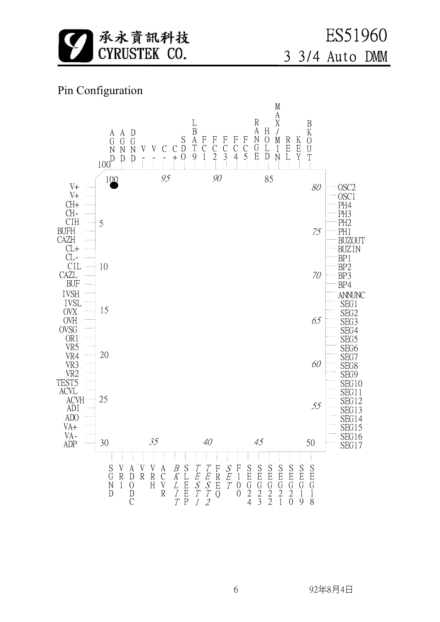

## Pin Configuration

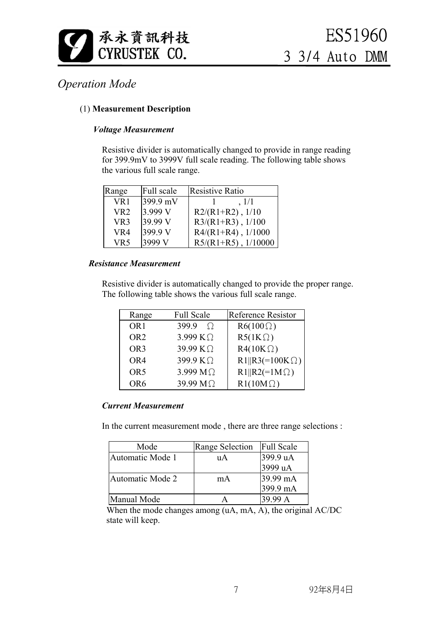![](_page_6_Picture_0.jpeg)

## *Operation Mode*

#### (1) **Measurement Description**

#### *Voltage Measurement*

 Resistive divider is automatically changed to provide in range reading for 399.9mV to 3999V full scale reading. The following table shows the various full scale range.

| Range           | Full scale | Resistive Ratio        |
|-----------------|------------|------------------------|
| VR1             | 399.9 mV   | , 1/1                  |
| VR <sub>2</sub> | 3.999 V    | $R2/(R1+R2)$ , $1/10$  |
| VR <sub>3</sub> | 39.99 V    | $R3/(R1+R3)$ , $1/100$ |
| VR4             | 399.9 V    | $R4/(R1+R4)$ , 1/1000  |
| VR5             | 3999 V     | $R5/(R1+R5)$ , 1/10000 |

#### *Resistance Measurement*

 Resistive divider is automatically changed to provide the proper range. The following table shows the various full scale range.

| Range           | <b>Full Scale</b>    | Reference Resistor    |
|-----------------|----------------------|-----------------------|
| OR <sub>1</sub> | $399.9 \quad \Omega$ | $R6(100\Omega)$       |
| OR <sub>2</sub> | 3.999 $K\Omega$      | $R5(1K\Omega)$        |
| OR <sub>3</sub> | 39.99 KΩ             | $R4(10K\Omega)$       |
| OR4             | 399.9 KΩ             | $R1  R3(=100K\Omega)$ |
| OR <sub>5</sub> | 3.999 $M\Omega$      | $R1  R2(=1M\Omega)$   |
| OR <sub>6</sub> | 39.99 M Q            | $R1(10M\Omega)$       |

#### *Current Measurement*

In the current measurement mode , there are three range selections :

| Mode             | <b>Range Selection</b> | <b>Full Scale</b> |
|------------------|------------------------|-------------------|
| Automatic Mode 1 | uА                     | 399.9 uA          |
|                  |                        | 3999 uA           |
| Automatic Mode 2 | mA                     | 39.99 mA          |
|                  |                        | 399.9 mA          |
| Manual Mode      |                        | 39.99 A           |

When the mode changes among (uA, mA, A), the original AC/DC state will keep.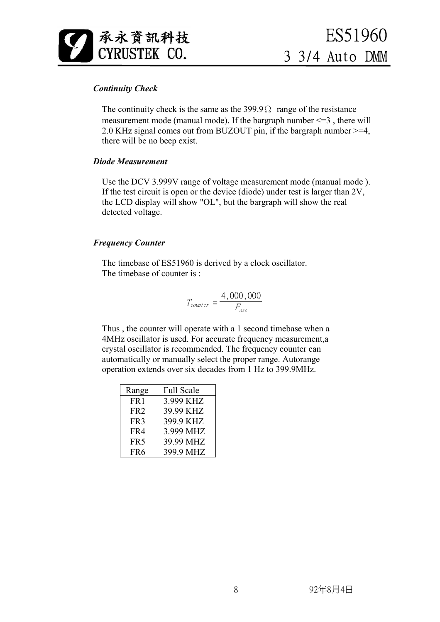![](_page_7_Picture_0.jpeg)

#### *Continuity Check*

The continuity check is the same as the  $399.9\Omega$  range of the resistance measurement mode (manual mode). If the bargraph number  $\leq$ =3, there will 2.0 KHz signal comes out from BUZOUT pin, if the bargraph number >=4, there will be no beep exist.

#### *Diode Measurement*

 Use the DCV 3.999V range of voltage measurement mode (manual mode ). If the test circuit is open or the device (diode) under test is larger than 2V, the LCD display will show "OL", but the bargraph will show the real detected voltage.

#### *Frequency Counter*

 The timebase of ES51960 is derived by a clock oscillator. The timebase of counter is :

$$
T_{counter} = \frac{4,000,000}{F_{osc}}
$$

 Thus , the counter will operate with a 1 second timebase when a 4MHz oscillator is used. For accurate frequency measurement,a crystal oscillator is recommended. The frequency counter can automatically or manually select the proper range. Autorange operation extends over six decades from 1 Hz to 399.9MHz.

| Range           | <b>Full Scale</b> |
|-----------------|-------------------|
| FR <sub>1</sub> | 3.999 KHZ         |
| FR <sub>2</sub> | 39.99 KHZ         |
| FR <sub>3</sub> | 399.9 KHZ         |
| FR4             | 3.999 MHZ         |
| FR <sub>5</sub> | 39.99 MHZ         |
| FR <sub>6</sub> | 399.9 MHZ         |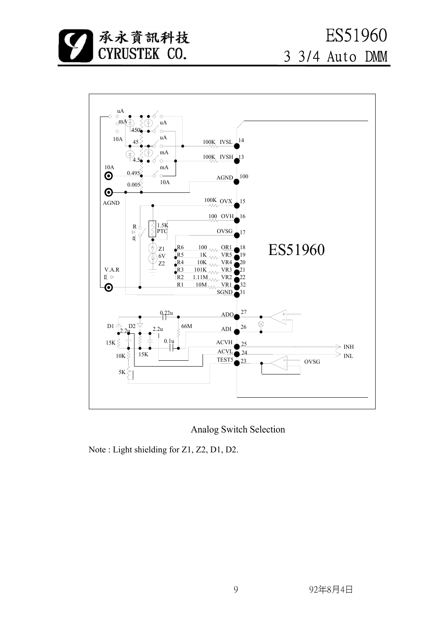![](_page_8_Picture_0.jpeg)

![](_page_8_Figure_2.jpeg)

Analog Switch Selection

Note : Light shielding for Z1, Z2, D1, D2.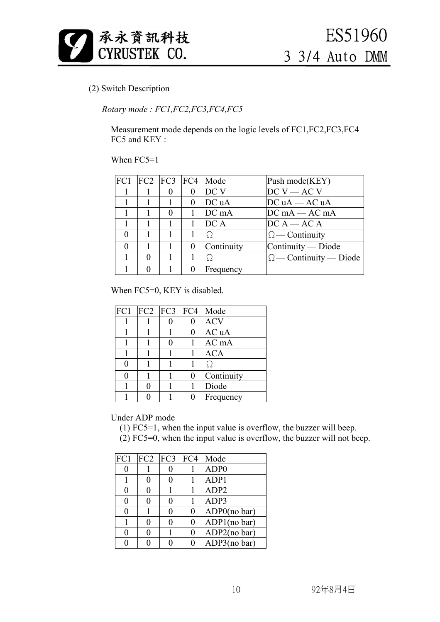![](_page_9_Picture_0.jpeg)

#### (2) Switch Description

#### *Rotary mode : FC1,FC2,FC3,FC4,FC5*

 Measurement mode depends on the logic levels of FC1,FC2,FC3,FC4 FC5 and KEY:

#### When FC5=1

|          |          |          |                | $FC1$ $FC2$ $FC3$ $FC4$ Mode | Push mode(KEY)                |
|----------|----------|----------|----------------|------------------------------|-------------------------------|
|          |          | $\theta$ | $\bf{0}$       | DC V                         | $DCV - ACV$                   |
|          |          |          | $\overline{0}$ | DC uA                        | $DC uA - AC uA$               |
|          |          |          | $\mathbf{1}$   | DC mA                        | $DCmA - ACmA$                 |
|          |          |          | 1              | DC A                         | $DC A - AC A$                 |
| $\Omega$ | 1        |          |                | $\Omega$                     | $\Omega$ - Continuity         |
|          |          |          | $\theta$       | Continuity                   | Continuity — Diode            |
|          | $\Omega$ |          |                | $\Omega$                     | $\Omega$ - Continuity - Diode |
|          |          |          |                | Frequency                    |                               |

When FC5=0, KEY is disabled.

|   |   |                | $FC1$ $FC2$ $FC3$ $FC4$ Mode |
|---|---|----------------|------------------------------|
|   |   | 0              | <b>ACV</b>                   |
|   |   | 0              | AC uA                        |
|   |   | $\mathbf{1}$   | AC mA                        |
|   |   | $\mathbf{1}$   | <b>ACA</b>                   |
| 0 |   |                | Ω                            |
| 0 |   | $\overline{0}$ | Continuity                   |
|   | 0 |                | Diode                        |
|   |   | 0              | Frequency                    |

Under ADP mode

(1) FC5=1, when the input value is overflow, the buzzer will beep.

(2) FC5=0, when the input value is overflow, the buzzer will not beep.

| FC1 | FC2 | FC3 | FC4 | Mode             |
|-----|-----|-----|-----|------------------|
| 0   |     |     |     | ADP <sub>0</sub> |
|     |     | 0   |     | ADP1             |
| 0   |     |     |     | ADP <sub>2</sub> |
| 0   |     | 0   |     | ADP3             |
| 0   |     | 0   | 0   | ADP0(no bar)     |
|     |     | 0   | 0   | ADP1(no bar)     |
| 0   |     |     | 0   | ADP2(no bar)     |
|     |     |     |     | ADP3(no bar)     |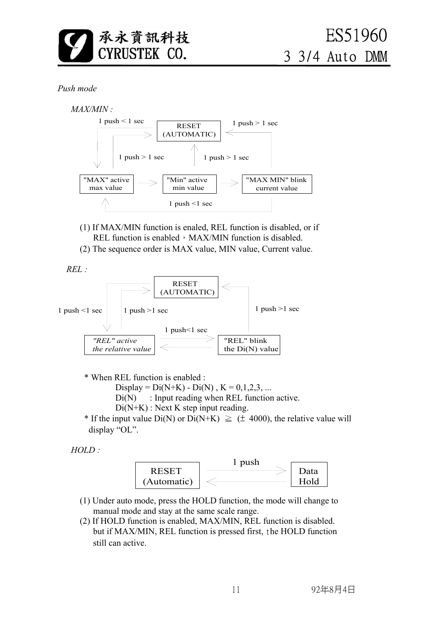![](_page_10_Picture_0.jpeg)

#### *Push mode*

![](_page_10_Figure_3.jpeg)

- (1) If MAX/MIN function is enaled, REL function is disabled, or if REL function is enabled, MAX/MIN function is disabled.
- (2) The sequence order is MAX value, MIN value, Current value.

 *REL :*

![](_page_10_Figure_7.jpeg)

- \* When REL function is enabled :
	- Display =  $Di(N+K) Di(N)$ ,  $K = 0,1,2,3,...$
	- $Di(N)$ : Input reading when REL function active.
	- $Di(N+K)$ : Next K step input reading.
- \* If the input value Di(N) or Di(N+K)  $\geq$  ( $\pm$  4000), the relative value will display "OL".

 *HOLD :*

![](_page_10_Figure_14.jpeg)

- (1) Under auto mode, press the HOLD function, the mode will change to manual mode and stay at the same scale range.
- (2) If HOLD function is enabled, MAX/MIN, REL function is disabled. but if MAX/MIN, REL function is pressed first, the HOLD function still can active.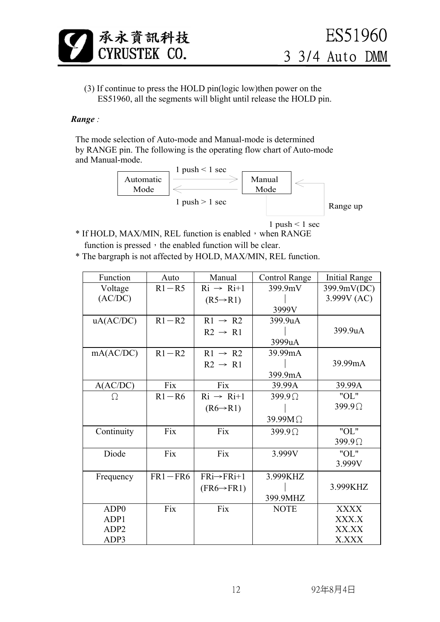![](_page_11_Picture_0.jpeg)

 (3) If continue to press the HOLD pin(logic low)then power on the ES51960, all the segments will blight until release the HOLD pin.

#### *Range :*

 The mode selection of Auto-mode and Manual-mode is determined by RANGE pin. The following is the operating flow chart of Auto-mode and Manual-mode.

![](_page_11_Figure_5.jpeg)

1 push  $\leq$  1 sec

- \* If HOLD, MAX/MIN, REL function is enabled, when RANGE function is pressed, the enabled function will be clear.
- \* The bargraph is not affected by HOLD, MAX/MIN, REL function.

| Function         | Auto        | Manual                                  | Control Range  | <b>Initial Range</b> |
|------------------|-------------|-----------------------------------------|----------------|----------------------|
| Voltage          | $R1 - R5$   | $\mathrm{R}i \rightarrow \mathrm{R}i+1$ | 399.9mV        | 399.9mV(DC)          |
| (AC/DC)          |             | $(R5 \rightarrow R1)$                   |                | 3.999V (AC)          |
|                  |             |                                         | 3999V          |                      |
| uA(AC/DC)        | $R1 - R2$   | $R1 \rightarrow R2$                     | 399.9uA        |                      |
|                  |             | $R2 \rightarrow R1$                     |                | 399.9uA              |
|                  |             |                                         | 3999uA         |                      |
| mA(AC/DC)        | $R1 - R2$   | $R1 \rightarrow R2$                     | 39.99mA        |                      |
|                  |             | $R2 \rightarrow R1$                     |                | 39.99mA              |
|                  |             |                                         | 399.9mA        |                      |
| A(AC/DC)         | Fix         | Fix                                     | 39.99A         | 39.99A               |
| Ω                | $R1 - R6$   | $\mathrm{R}i \rightarrow \mathrm{R}i+1$ | $399.9\Omega$  | "OL"                 |
|                  |             | $(R6 \rightarrow R1)$                   |                | $399.9\Omega$        |
|                  |             |                                         | $39.99M\Omega$ |                      |
| Continuity       | Fix         | Fix                                     | $399.9\Omega$  | "OL"                 |
|                  |             |                                         |                | $399.9\Omega$        |
| Diode            | Fix         | Fix                                     | 3.999V         | "OL"                 |
|                  |             |                                         |                | 3.999V               |
| Frequency        | $FR1 - FR6$ | $FRi \rightarrow FRi+1$                 | 3.999KHZ       |                      |
|                  |             | $(FR6 \rightarrow FR1)$                 |                | 3.999KHZ             |
|                  |             |                                         | 399.9MHZ       |                      |
| ADP <sub>0</sub> | Fix         | Fix                                     | <b>NOTE</b>    | <b>XXXX</b>          |
| ADP1             |             |                                         |                | XXX.X                |
| ADP <sub>2</sub> |             |                                         |                | XX.XX                |
| ADP3             |             |                                         |                | X.XXX                |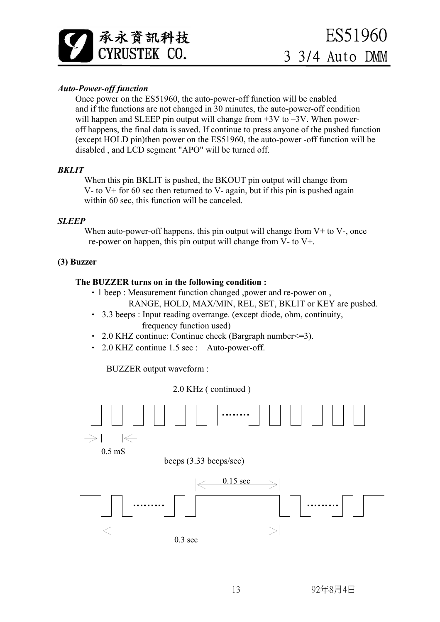![](_page_12_Picture_0.jpeg)

#### *Auto-Power-off function*

 Once power on the ES51960, the auto-power-off function will be enabled and if the functions are not changed in 30 minutes, the auto-power-off condition will happen and SLEEP pin output will change from  $+3V$  to  $-3V$ . When poweroff happens, the final data is saved. If continue to press anyone of the pushed function (except HOLD pin)then power on the ES51960, the auto-power -off function will be disabled , and LCD segment "APO" will be turned off.

#### *BKLIT*

When this pin BKLIT is pushed, the BKOUT pin output will change from V- to V+ for 60 sec then returned to V- again, but if this pin is pushed again within 60 sec, this function will be canceled.

#### *SLEEP*

When auto-power-off happens, this pin output will change from  $V<sup>+</sup>$  to  $V<sup>-</sup>$ , once re-power on happen, this pin output will change from V- to V+.

#### **(3) Buzzer**

#### **The BUZZER turns on in the following condition :**

- •1 beep : Measurement function changed ,power and re-power on , RANGE, HOLD, MAX/MIN, REL, SET, BKLIT or KEY are pushed.
- 3.3 beeps : Input reading overrange. (except diode, ohm, continuity, frequency function used)
- 2.0 KHZ continue: Continue check (Bargraph number<=3).
- 2.0 KHZ continue 1.5 sec : Auto-power-off.

BUZZER output waveform :

2.0 KHz ( continued )

![](_page_12_Figure_16.jpeg)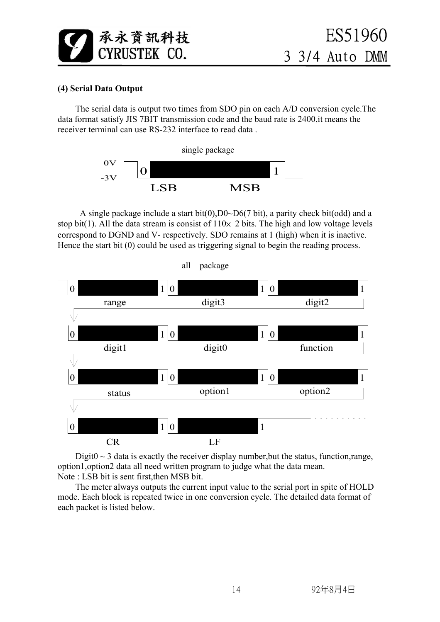![](_page_13_Picture_0.jpeg)

#### **(4) Serial Data Output**

 The serial data is output two times from SDO pin on each A/D conversion cycle.The data format satisfy JIS 7BIT transmission code and the baud rate is 2400,it means the receiver terminal can use RS-232 interface to read data .

![](_page_13_Figure_4.jpeg)

A single package include a start bit(0),  $D0\n-D6(7 \text{ bit})$ , a parity check bit(odd) and a stop bit(1). All the data stream is consist of  $110\times 2$  bits. The high and low voltage levels correspond to DGND and V- respectively. SDO remains at 1 (high) when it is inactive. Hence the start bit (0) could be used as triggering signal to begin the reading process.

![](_page_13_Figure_6.jpeg)

Digit $0 \sim 3$  data is exactly the receiver display number, but the status, function, range, option1,option2 data all need written program to judge what the data mean. Note : LSB bit is sent first,then MSB bit.

 The meter always outputs the current input value to the serial port in spite of HOLD mode. Each block is repeated twice in one conversion cycle. The detailed data format of each packet is listed below.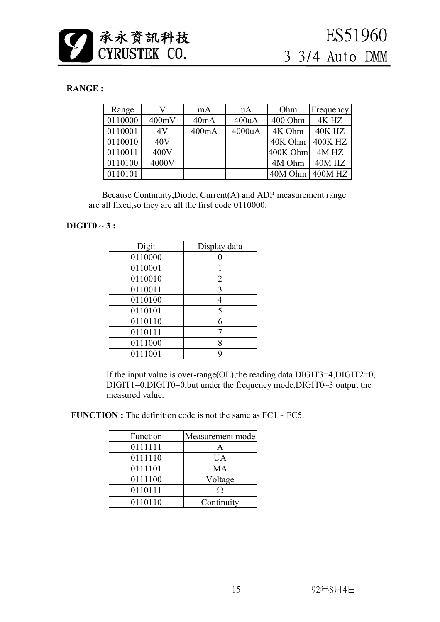![](_page_14_Picture_0.jpeg)

#### **RANGE :**

| Range   |       | mA    | uA     | Ohm      | Frequency      |
|---------|-------|-------|--------|----------|----------------|
| 0110000 | 400mV | 40mA  | 400uA  | 400 Ohm  | 4K HZ          |
| 0110001 | 4V    | 400mA | 4000uA | 4K Ohm   | <b>40K HZ</b>  |
| 0110010 | 40V   |       |        | 40K Ohm  | <b>400K HZ</b> |
| 0110011 | 400V  |       |        | 400K Ohm | $4M$ HZ        |
| 0110100 | 4000V |       |        | 4M Ohm   | 40M HZ         |
| 0110101 |       |       |        | 40M Ohm  | 400M HZ        |

 Because Continuity,Diode, Current(A) and ADP measurement range are all fixed,so they are all the first code 0110000.

#### **DIGIT0 ~ 3 :**

| Digit   | Display data   |
|---------|----------------|
| 0110000 |                |
| 0110001 |                |
| 0110010 | $\overline{2}$ |
| 0110011 | 3              |
| 0110100 | 4              |
| 0110101 | 5              |
| 0110110 | 6              |
| 0110111 |                |
| 0111000 | 8              |
| 0111001 | q              |

 If the input value is over-range(OL),the reading data DIGIT3=4,DIGIT2=0,  $DIGIT1=0, DIGIT0=0, but under the frequency mode, DIGIT0-3 output the$ measured value.

**FUNCTION :** The definition code is not the same as  $FC1 \sim FC5$ .

| Function | Measurement mode |
|----------|------------------|
| 0111111  | А                |
|          |                  |
| 0111110  | UA               |
| 0111101  | <b>MA</b>        |
| 0111100  | Voltage          |
| 0110111  | ( )              |
| 0110110  | Continuity       |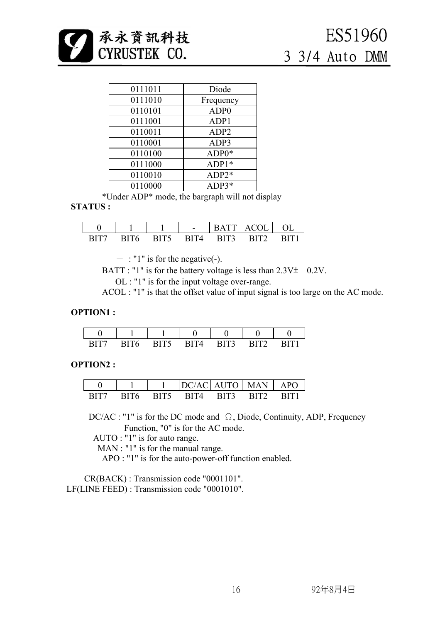![](_page_15_Picture_0.jpeg)

| 0111011 | Diode            |
|---------|------------------|
| 0111010 | Frequency        |
| 0110101 | ADP <sub>0</sub> |
| 0111001 | ADP1             |
| 0110011 | ADP <sub>2</sub> |
| 0110001 | ADP3             |
| 0110100 | ADP0*            |
| 0111000 | $ADP1*$          |
| 0110010 | $ADP2*$          |
| 0110000 | ADP3*            |

\*Under ADP\* mode, the bargraph will not display

#### **STATUS :**

|  | $\overline{\phantom{a}}$ | А                 | 'N<br>Δ1     |  |
|--|--------------------------|-------------------|--------------|--|
|  | $\Delta$                 | $\overline{BIT3}$ | $T^{\prime}$ |  |

 $-$ : "1" is for the negative(-).

BATT : "1" is for the battery voltage is less than  $2.3V\pm 0.2V$ .

OL : "1" is for the input voltage over-range.

ACOL : "1" is that the offset value of input signal is too large on the AC mode.

#### **OPTION1 :**

|  | Δ | <b>TTM</b> | TT2 |  |
|--|---|------------|-----|--|

#### **OPTION2 :**

|  |      |                      | $C/AC$ $AUTCD$ | <b>MAN</b>               | P <sub>(</sub><br>А |
|--|------|----------------------|----------------|--------------------------|---------------------|
|  | RIT5 | $^{\prime}$ $\Delta$ | Т?<br>RĽ       | $\mathsf{RIT}^{\bullet}$ |                     |

 DC/AC : "1" is for the DC mode and Ω, Diode, Continuity, ADP, Frequency Function, "0" is for the AC mode.

AUTO : "1" is for auto range.

MAN : "1" is for the manual range.

APO : "1" is for the auto-power-off function enabled.

 CR(BACK) : Transmission code "0001101". LF(LINE FEED) : Transmission code "0001010".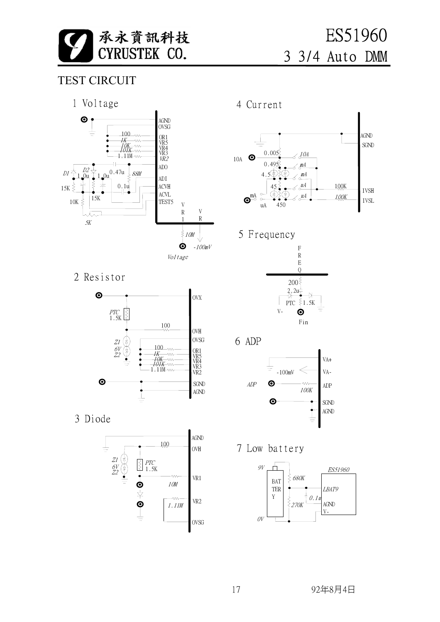![](_page_16_Picture_0.jpeg)

 ES51960 3 3/4 Auto DMM

## TEST CIRCUIT

![](_page_16_Figure_3.jpeg)

### 2 Resistor

![](_page_16_Figure_5.jpeg)

3 Diode

![](_page_16_Figure_7.jpeg)

4 Current

![](_page_16_Figure_9.jpeg)

## 5 Frequency

![](_page_16_Figure_11.jpeg)

6 ADP

![](_page_16_Figure_13.jpeg)

7 Low battery

![](_page_16_Figure_15.jpeg)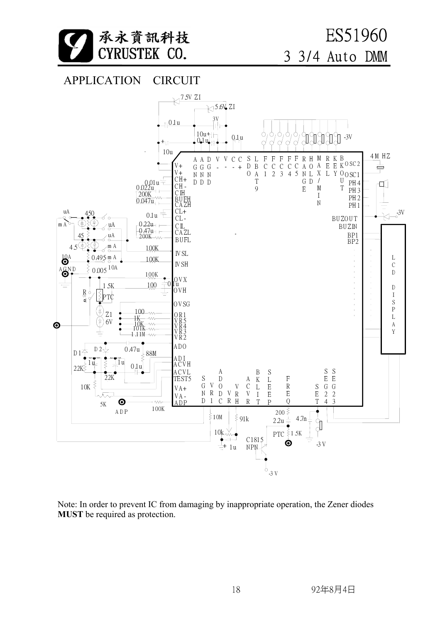![](_page_17_Picture_0.jpeg)

![](_page_17_Figure_2.jpeg)

![](_page_17_Figure_3.jpeg)

Note: In order to prevent IC from damaging by inappropriate operation, the Zener diodes **MUST** be required as protection.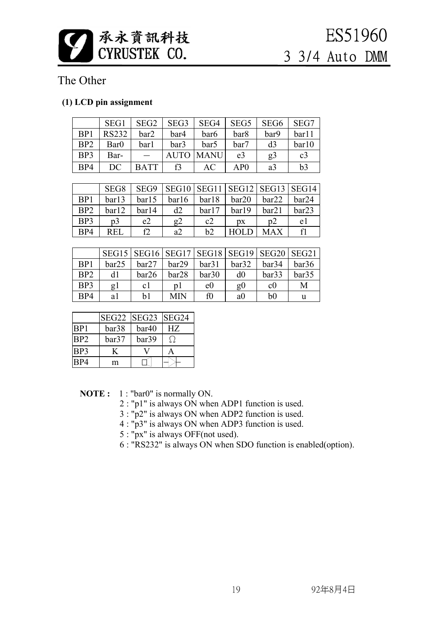![](_page_18_Picture_0.jpeg)

## The Other

### **(1) LCD pin assignment**

|     | SEG1         | SEG <sub>2</sub> | SEG <sub>3</sub> | SEG4             | SEG <sub>5</sub> | SEG <sub>6</sub> | SEG7           |
|-----|--------------|------------------|------------------|------------------|------------------|------------------|----------------|
| BP1 | <b>RS232</b> | bar2             | bar4             | bar <sub>6</sub> | bar8             | bar9             | bar11          |
| BP2 | Bar0         | barl             | bar3             | bar5             | bar7             | d <sub>3</sub>   | bar10          |
| BP3 | Bar-         |                  |                  | <b>AUTO MANU</b> | e3               | g <sub>3</sub>   | c <sub>3</sub> |
| BP4 | DC           | <b>BATT</b>      | f3               | AC               | AP0              | a <sub>3</sub>   | b3             |

|                 | SEG <sub>8</sub> | SEG9  |       |       | SEG10   SEG11   SEG12   SEG13   SEG14 |       |       |
|-----------------|------------------|-------|-------|-------|---------------------------------------|-------|-------|
| BP1             | bar13            | bar15 | bar16 | bar18 | bar20                                 | bar22 | bar24 |
| B <sub>P2</sub> | bar12            | bar14 | d2    | bar17 | bar19                                 | bar21 | bar23 |
| BP <sub>3</sub> | p <sub>3</sub>   | e2    | g2    | c2    | DX                                    | p2    | e l   |
| BP4             | REL              | f)    | a2    | b2    |                                       | MAX   |       |

|                 |       |       | SEG15   SEG16   SEG17   SEG18   SEG19   SEG20   SEG21 |                |                |       |       |
|-----------------|-------|-------|-------------------------------------------------------|----------------|----------------|-------|-------|
| B <sub>P1</sub> | bar25 | bar27 | bar29                                                 | bar31          | bar32          | bar34 | bar36 |
| B <sub>P2</sub> | d1    | bar26 | bar28                                                 | bar30          | d0             | bar33 | bar35 |
| BP <sub>3</sub> | g l   | c l   | n l                                                   | e <sub>0</sub> | g <sub>0</sub> | c0    | M     |
| BP4             | a l   | b1    | MIN                                                   | f0             | a0             | b0    | u     |

|                 | SEG22 | SEG23 SEG24 |    |
|-----------------|-------|-------------|----|
| BP1             | bar38 | bar40       | НZ |
| BP <sub>2</sub> | bar37 | bar39       |    |
| BP <sub>3</sub> |       |             |    |
| 9P4             | m     |             |    |

**NOTE :** 1 : "bar0" is normally ON.

2 : "p1" is always ON when ADP1 function is used.

3 : "p2" is always ON when ADP2 function is used.

4 : "p3" is always ON when ADP3 function is used.

5 : "px" is always OFF(not used).

6 : "RS232" is always ON when SDO function is enabled(option).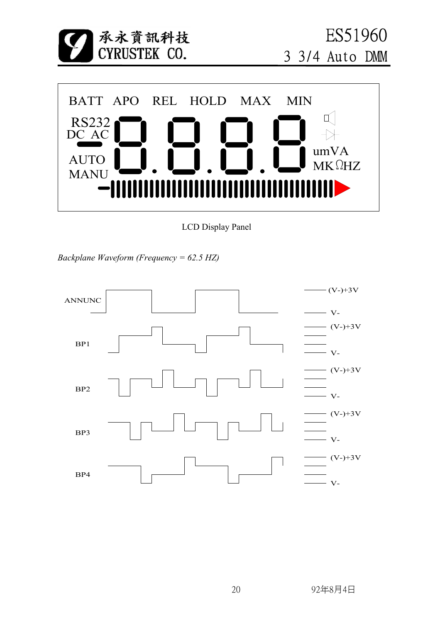![](_page_19_Picture_0.jpeg)

LCD Display Panel

*Backplane Waveform (Frequency = 62.5 HZ)*

![](_page_19_Figure_3.jpeg)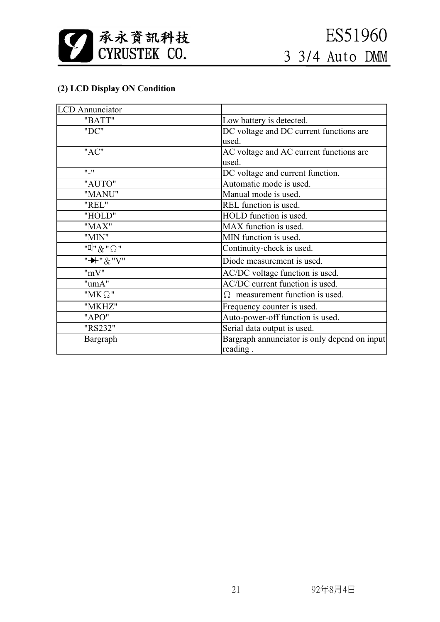![](_page_20_Picture_0.jpeg)

### **(2) LCD Display ON Condition**

| <b>LCD</b> Annunciator                                                        |                                              |
|-------------------------------------------------------------------------------|----------------------------------------------|
| "BATT"                                                                        | Low battery is detected.                     |
| "DC"                                                                          | DC voltage and DC current functions are      |
|                                                                               | used.                                        |
| "AC"                                                                          | AC voltage and AC current functions are      |
|                                                                               | used.                                        |
| $\mathbf{u}$ $\mathbf{u}$                                                     | DC voltage and current function.             |
| "AUTO"                                                                        | Automatic mode is used.                      |
| "MANU"                                                                        | Manual mode is used.                         |
| "REL"                                                                         | REL function is used.                        |
| "HOLD"                                                                        | HOLD function is used.                       |
| "MAX"                                                                         | MAX function is used.                        |
| "MIN"                                                                         | MIN function is used.                        |
| $\mathbb{H}$ $\mathbb{R}$ $\mathbb{R}$ $\mathbb{R}$ $\mathbb{R}$ $\mathbb{R}$ | Continuity-check is used.                    |
| "-+" & "V"                                                                    | Diode measurement is used.                   |
| "mV"                                                                          | AC/DC voltage function is used.              |
| "umA"                                                                         | AC/DC current function is used.              |
| " $MK \Omega$ "                                                               | $\Omega$ measurement function is used.       |
| "MKHZ"                                                                        | Frequency counter is used.                   |
| "APO"                                                                         | Auto-power-off function is used.             |
| "RS232"                                                                       | Serial data output is used.                  |
| Bargraph                                                                      | Bargraph annunciator is only depend on input |
|                                                                               | reading.                                     |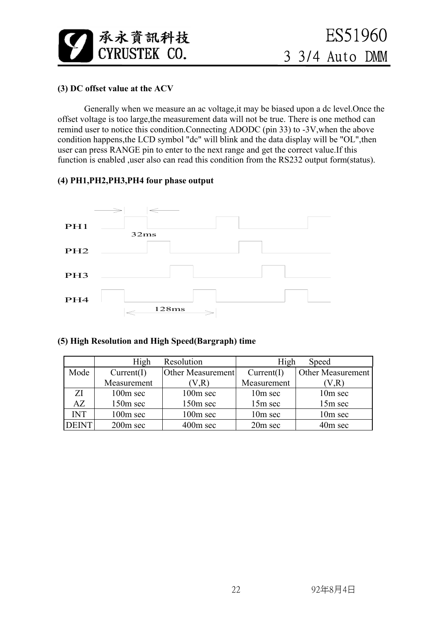![](_page_21_Picture_0.jpeg)

#### **(3) DC offset value at the ACV**

 Generally when we measure an ac voltage,it may be biased upon a dc level.Once the offset voltage is too large,the measurement data will not be true. There is one method can remind user to notice this condition.Connecting ADODC (pin 33) to -3V,when the above condition happens,the LCD symbol "dc" will blink and the data display will be "OL",then user can press RANGE pin to enter to the next range and get the correct value.If this function is enabled , user also can read this condition from the RS232 output form(status).

#### **(4) PH1,PH2,PH3,PH4 four phase output**

![](_page_21_Figure_5.jpeg)

#### **(5) High Resolution and High Speed(Bargraph) time**

|            | High                 | Resolution        | High<br><b>Speed</b> |                   |  |
|------------|----------------------|-------------------|----------------------|-------------------|--|
| Mode       | Current(I)           | Other Measurement | Current(I)           | Other Measurement |  |
|            | Measurement          | V.R               | Measurement          | (V,R)             |  |
| ΖI         | 100m sec             | $100m$ sec        | 10m sec              | 10m sec           |  |
| AZ         | 150m sec             | 150m sec          | 15m sec              | 15m sec           |  |
| <b>INT</b> | 100m sec             | 100m sec          | 10m sec              | 10m sec           |  |
|            | 200 <sub>m</sub> sec | $400m$ sec        | 20m sec              | 40m sec           |  |